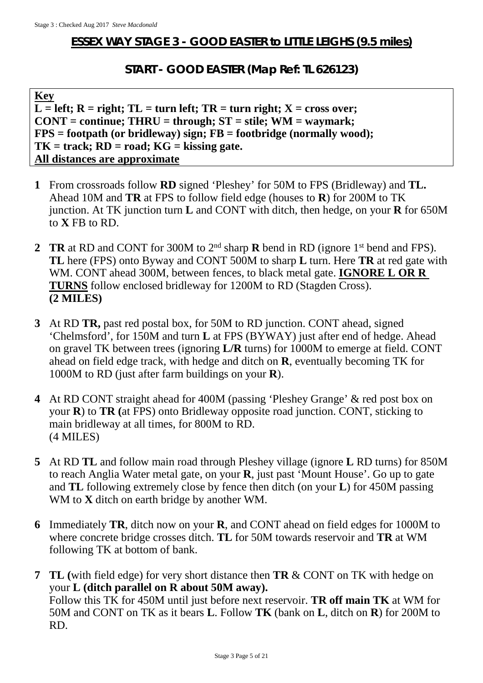## **ESSEX WAY STAGE 3 - GOOD EASTER to LITTLE LEIGHS (9.5 miles)**

## **START - GOOD EASTER (Map Ref: TL 626123)**

**Key**  $\overline{L}$  = left; R = right; TL = turn left; TR = turn right; X = cross over; **CONT = continue; THRU = through; ST = stile; WM = waymark; FPS = footpath (or bridleway) sign; FB = footbridge (normally wood); TK = track; RD = road; KG = kissing gate. All distances are approximate**

- **1** From crossroads follow **RD** signed 'Pleshey' for 50M to FPS (Bridleway) and **TL.**  Ahead 10M and **TR** at FPS to follow field edge (houses to **R**) for 200M to TK junction. At TK junction turn **L** and CONT with ditch, then hedge, on your **R** for 650M to **X** FB to RD.
- **2 TR** at RD and CONT for 300M to 2nd sharp **R** bend in RD (ignore 1st bend and FPS). **TL** here (FPS) onto Byway and CONT 500M to sharp **L** turn. Here **TR** at red gate with WM. CONT ahead 300M, between fences, to black metal gate. **IGNORE L OR R TURNS** follow enclosed bridleway for 1200M to RD (Stagden Cross). **(2 MILES)**
- **3** At RD **TR,** past red postal box, for 50M to RD junction. CONT ahead, signed 'Chelmsford', for 150M and turn **L** at FPS (BYWAY) just after end of hedge. Ahead on gravel TK between trees (ignoring **L/R** turns) for 1000M to emerge at field. CONT ahead on field edge track, with hedge and ditch on **R**, eventually becoming TK for 1000M to RD (just after farm buildings on your **R**).
- **4** At RD CONT straight ahead for 400M (passing 'Pleshey Grange' & red post box on your **R**) to **TR (**at FPS) onto Bridleway opposite road junction. CONT, sticking to main bridleway at all times, for 800M to RD. (4 MILES)
- **5** At RD **TL** and follow main road through Pleshey village (ignore **L** RD turns) for 850M to reach Anglia Water metal gate, on your **R**, just past 'Mount House'. Go up to gate and **TL** following extremely close by fence then ditch (on your **L**) for 450M passing WM to **X** ditch on earth bridge by another WM.
- **6** Immediately **TR**, ditch now on your **R**, and CONT ahead on field edges for 1000M to where concrete bridge crosses ditch. **TL** for 50M towards reservoir and **TR** at WM following TK at bottom of bank.
- **7 TL (**with field edge) for very short distance then **TR** & CONT on TK with hedge on your **L (ditch parallel on R about 50M away).** Follow this TK for 450M until just before next reservoir. **TR off main TK** at WM for 50M and CONT on TK as it bears **L**. Follow **TK** (bank on **L**, ditch on **R**) for 200M to RD.